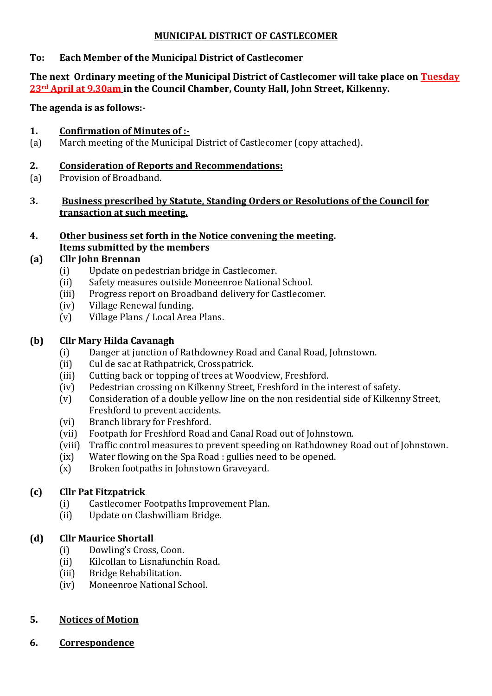### **MUNICIPAL DISTRICT OF CASTLECOMER**

### **To: Each Member of the Municipal District of Castlecomer**

#### **The next Ordinary meeting of the Municipal District of Castlecomer will take place on Tuesday 23rd April at 9.30am in the Council Chamber, County Hall, John Street, Kilkenny.**

**The agenda is as follows:-**

### **1. Confirmation of Minutes of :-**

(a) March meeting of the Municipal District of Castlecomer (copy attached).

### **2. Consideration of Reports and Recommendations:**

- (a) Provision of Broadband.
- **3. Business prescribed by Statute, Standing Orders or Resolutions of the Council for transaction at such meeting.**
- **4. Other business set forth in the Notice convening the meeting. Items submitted by the members**

## **(a) Cllr John Brennan**

- (i) Update on pedestrian bridge in Castlecomer.
- (ii) Safety measures outside Moneenroe National School.
- (iii) Progress report on Broadband delivery for Castlecomer.
- (iv) Village Renewal funding.
- (v) Village Plans / Local Area Plans.

## **(b) Cllr Mary Hilda Cavanagh**

- (i) Danger at junction of Rathdowney Road and Canal Road, Johnstown.
- (ii) Cul de sac at Rathpatrick, Crosspatrick.
- (iii) Cutting back or topping of trees at Woodview, Freshford.
- (iv) Pedestrian crossing on Kilkenny Street, Freshford in the interest of safety.
- (v) Consideration of a double yellow line on the non residential side of Kilkenny Street, Freshford to prevent accidents.
- (vi) Branch library for Freshford.
- (vii) Footpath for Freshford Road and Canal Road out of Johnstown.
- (viii) Traffic control measures to prevent speeding on Rathdowney Road out of Johnstown.
- (ix) Water flowing on the Spa Road : gullies need to be opened.
- (x) Broken footpaths in Johnstown Graveyard.

# **(c) Cllr Pat Fitzpatrick**

- (i) Castlecomer Footpaths Improvement Plan.
- (ii) Update on Clashwilliam Bridge.

# **(d) Cllr Maurice Shortall**

- (i) Dowling's Cross, Coon.
- (ii) Kilcollan to Lisnafunchin Road.
- (iii) Bridge Rehabilitation.
- (iv) Moneenroe National School.

## **5. Notices of Motion**

**6. Correspondence**